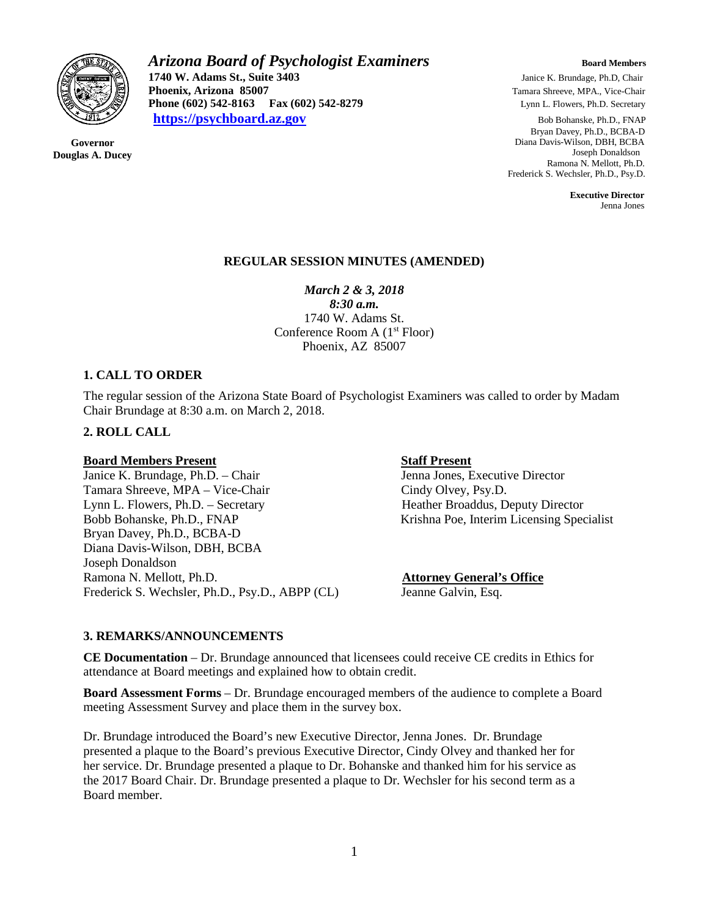

**Governor Douglas A. Ducey** *Arizona Board of Psychologist Examiners Board Members* **1740 W. Adams St., Suite 3403** Janice K. Brundage, Ph.D, Chair<br> **1740 W. Adams St., Suite 3403** Janice K. Brundage, Ph.D, Chair<br> **1740 W. Adams St., Suite 3403** Janice K. Brundage, Ph.D, Chair **Phoenix, Arizona 85007 Phoenix, Arizona 85007 Phone (602) 542-8279 Phone (602) 542-8163 Phone (602) 542-8163 Phone (602) 542-8279** Lynn L. Flowers, Ph.D. Secretary **[https://psychboard.az.gov](https://psychboard.az.gov/)** Bob Bohanske, Ph.D., FNAP

 Bryan Davey, Ph.D., BCBA-D Diana Davis-Wilson, DBH, BCBA Joseph Donaldson Ramona N. Mellott, Ph.D. Frederick S. Wechsler, Ph.D., Psy.D.

 **Executive Director** Jenna Jones

#### **REGULAR SESSION MINUTES (AMENDED)**

*March 2 & 3, 2018*

*8:30 a.m.* 1740 W. Adams St. Conference Room A  $(1<sup>st</sup> Floor)$ Phoenix, AZ 85007

#### **1. CALL TO ORDER**

The regular session of the Arizona State Board of Psychologist Examiners was called to order by Madam Chair Brundage at 8:30 a.m. on March 2, 2018.

#### **2. ROLL CALL**

**Board Members Present**<br>
Janice K. Brundage, Ph.D. – Chair<br>
Staff Present<br>
Jenna Jones, Executive Director Janice K. Brundage, Ph.D. – Chair Tamara Shreeve, MPA – Vice-Chair Cindy Olvey, Psy.D. Lynn L. Flowers, Ph.D. – Secretary Heather Broaddus, Deputy Director Bobb Bohanske, Ph.D., FNAP Krishna Poe, Interim Licensing Specialist Bryan Davey, Ph.D., BCBA-D Diana Davis-Wilson, DBH, BCBA Joseph Donaldson Ramona N. Mellott, Ph.D. **Attorney General's Office** Frederick S. Wechsler, Ph.D., Psy.D., ABPP (CL) Jeanne Galvin, Esq.

#### **3. REMARKS/ANNOUNCEMENTS**

**CE Documentation** – Dr. Brundage announced that licensees could receive CE credits in Ethics for attendance at Board meetings and explained how to obtain credit.

**Board Assessment Forms** – Dr. Brundage encouraged members of the audience to complete a Board meeting Assessment Survey and place them in the survey box.

Dr. Brundage introduced the Board's new Executive Director, Jenna Jones. Dr. Brundage presented a plaque to the Board's previous Executive Director, Cindy Olvey and thanked her for her service. Dr. Brundage presented a plaque to Dr. Bohanske and thanked him for his service as the 2017 Board Chair. Dr. Brundage presented a plaque to Dr. Wechsler for his second term as a Board member.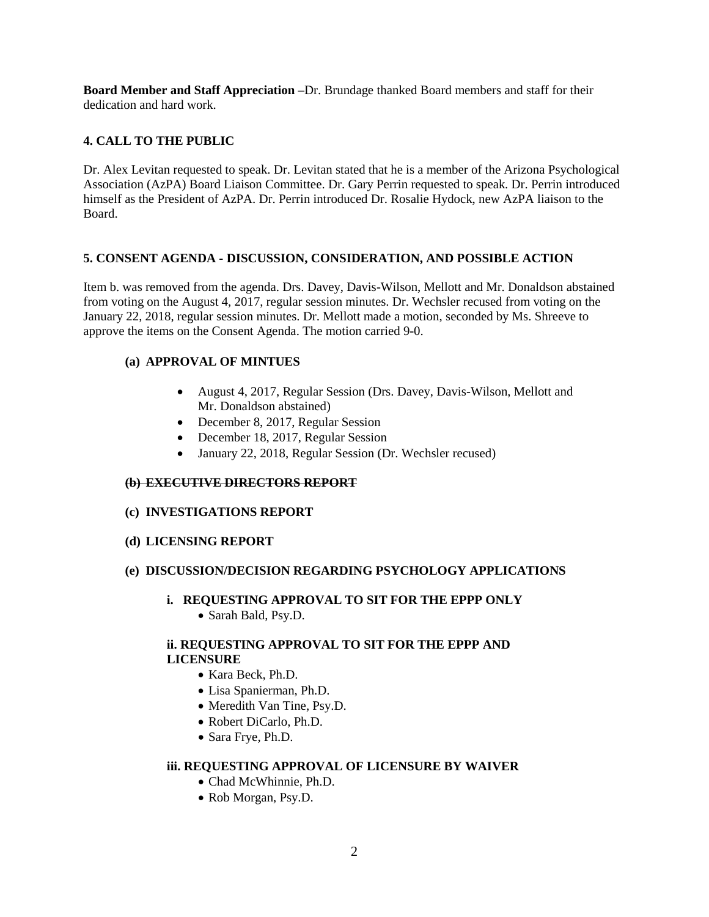**Board Member and Staff Appreciation** –Dr. Brundage thanked Board members and staff for their dedication and hard work.

# **4. CALL TO THE PUBLIC**

Dr. Alex Levitan requested to speak. Dr. Levitan stated that he is a member of the Arizona Psychological Association (AzPA) Board Liaison Committee. Dr. Gary Perrin requested to speak. Dr. Perrin introduced himself as the President of AzPA. Dr. Perrin introduced Dr. Rosalie Hydock, new AzPA liaison to the Board.

# **5. CONSENT AGENDA - DISCUSSION, CONSIDERATION, AND POSSIBLE ACTION**

Item b. was removed from the agenda. Drs. Davey, Davis-Wilson, Mellott and Mr. Donaldson abstained from voting on the August 4, 2017, regular session minutes. Dr. Wechsler recused from voting on the January 22, 2018, regular session minutes. Dr. Mellott made a motion, seconded by Ms. Shreeve to approve the items on the Consent Agenda. The motion carried 9-0.

# **(a) APPROVAL OF MINTUES**

- August 4, 2017, Regular Session (Drs. Davey, Davis-Wilson, Mellott and Mr. Donaldson abstained)
- December 8, 2017, Regular Session
- December 18, 2017, Regular Session
- January 22, 2018, Regular Session (Dr. Wechsler recused)

#### **(b) EXECUTIVE DIRECTORS REPORT**

#### **(c) INVESTIGATIONS REPORT**

**(d) LICENSING REPORT**

#### **(e) DISCUSSION/DECISION REGARDING PSYCHOLOGY APPLICATIONS**

- **i. REQUESTING APPROVAL TO SIT FOR THE EPPP ONLY**
	- Sarah Bald, Psy.D.

#### **ii. REQUESTING APPROVAL TO SIT FOR THE EPPP AND LICENSURE**

- Kara Beck, Ph.D.
- Lisa Spanierman, Ph.D.
- Meredith Van Tine, Psy.D.
- Robert DiCarlo, Ph.D.
- Sara Frye, Ph.D.

## **iii. REQUESTING APPROVAL OF LICENSURE BY WAIVER**

- Chad McWhinnie, Ph.D.
- Rob Morgan, Psy.D.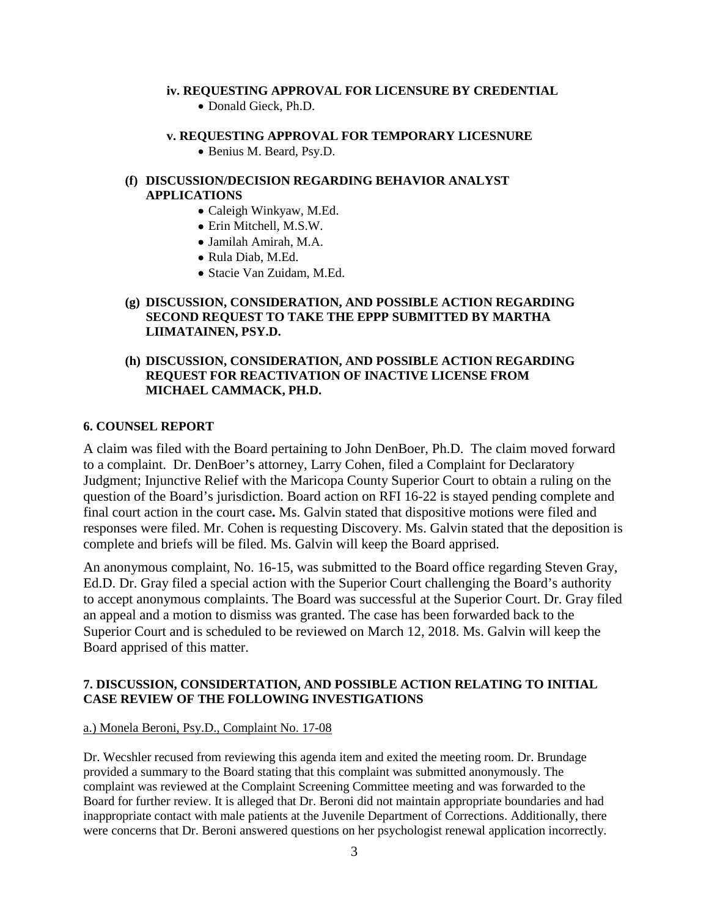#### **iv. REQUESTING APPROVAL FOR LICENSURE BY CREDENTIAL**

• Donald Gieck, Ph.D.

#### **v. REQUESTING APPROVAL FOR TEMPORARY LICESNURE**

• Benius M. Beard, Psy.D.

### **(f) DISCUSSION/DECISION REGARDING BEHAVIOR ANALYST APPLICATIONS**

- Caleigh Winkyaw, M.Ed.
- Erin Mitchell, M.S.W.
- Jamilah Amirah, M.A.
- Rula Diab, M.Ed.
- Stacie Van Zuidam, M.Ed.

## **(g) DISCUSSION, CONSIDERATION, AND POSSIBLE ACTION REGARDING SECOND REQUEST TO TAKE THE EPPP SUBMITTED BY MARTHA LIIMATAINEN, PSY.D.**

## **(h) DISCUSSION, CONSIDERATION, AND POSSIBLE ACTION REGARDING REQUEST FOR REACTIVATION OF INACTIVE LICENSE FROM MICHAEL CAMMACK, PH.D.**

#### **6. COUNSEL REPORT**

A claim was filed with the Board pertaining to John DenBoer, Ph.D. The claim moved forward to a complaint. Dr. DenBoer's attorney, Larry Cohen, filed a Complaint for Declaratory Judgment; Injunctive Relief with the Maricopa County Superior Court to obtain a ruling on the question of the Board's jurisdiction. Board action on RFI 16-22 is stayed pending complete and final court action in the court case**.** Ms. Galvin stated that dispositive motions were filed and responses were filed. Mr. Cohen is requesting Discovery. Ms. Galvin stated that the deposition is complete and briefs will be filed. Ms. Galvin will keep the Board apprised.

An anonymous complaint, No. 16-15, was submitted to the Board office regarding Steven Gray, Ed.D. Dr. Gray filed a special action with the Superior Court challenging the Board's authority to accept anonymous complaints. The Board was successful at the Superior Court. Dr. Gray filed an appeal and a motion to dismiss was granted. The case has been forwarded back to the Superior Court and is scheduled to be reviewed on March 12, 2018. Ms. Galvin will keep the Board apprised of this matter.

#### **7. DISCUSSION, CONSIDERTATION, AND POSSIBLE ACTION RELATING TO INITIAL CASE REVIEW OF THE FOLLOWING INVESTIGATIONS**

#### a.) Monela Beroni, Psy.D., Complaint No. 17-08

Dr. Wecshler recused from reviewing this agenda item and exited the meeting room. Dr. Brundage provided a summary to the Board stating that this complaint was submitted anonymously. The complaint was reviewed at the Complaint Screening Committee meeting and was forwarded to the Board for further review. It is alleged that Dr. Beroni did not maintain appropriate boundaries and had inappropriate contact with male patients at the Juvenile Department of Corrections. Additionally, there were concerns that Dr. Beroni answered questions on her psychologist renewal application incorrectly.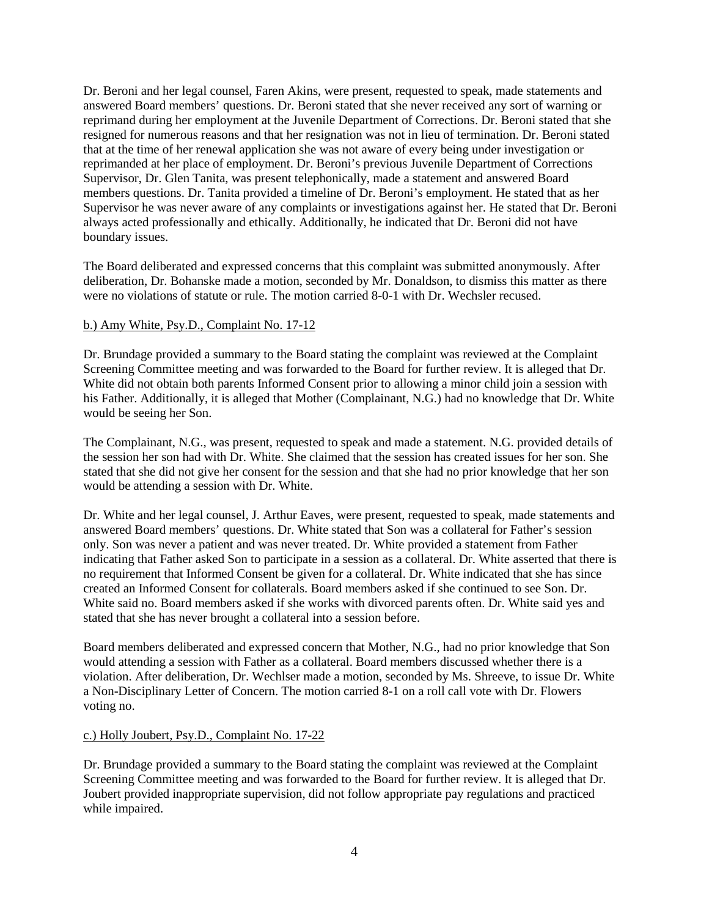Dr. Beroni and her legal counsel, Faren Akins, were present, requested to speak, made statements and answered Board members' questions. Dr. Beroni stated that she never received any sort of warning or reprimand during her employment at the Juvenile Department of Corrections. Dr. Beroni stated that she resigned for numerous reasons and that her resignation was not in lieu of termination. Dr. Beroni stated that at the time of her renewal application she was not aware of every being under investigation or reprimanded at her place of employment. Dr. Beroni's previous Juvenile Department of Corrections Supervisor, Dr. Glen Tanita, was present telephonically, made a statement and answered Board members questions. Dr. Tanita provided a timeline of Dr. Beroni's employment. He stated that as her Supervisor he was never aware of any complaints or investigations against her. He stated that Dr. Beroni always acted professionally and ethically. Additionally, he indicated that Dr. Beroni did not have boundary issues.

The Board deliberated and expressed concerns that this complaint was submitted anonymously. After deliberation, Dr. Bohanske made a motion, seconded by Mr. Donaldson, to dismiss this matter as there were no violations of statute or rule. The motion carried 8-0-1 with Dr. Wechsler recused.

#### b.) Amy White, Psy.D., Complaint No. 17-12

Dr. Brundage provided a summary to the Board stating the complaint was reviewed at the Complaint Screening Committee meeting and was forwarded to the Board for further review. It is alleged that Dr. White did not obtain both parents Informed Consent prior to allowing a minor child join a session with his Father. Additionally, it is alleged that Mother (Complainant, N.G.) had no knowledge that Dr. White would be seeing her Son.

The Complainant, N.G., was present, requested to speak and made a statement. N.G. provided details of the session her son had with Dr. White. She claimed that the session has created issues for her son. She stated that she did not give her consent for the session and that she had no prior knowledge that her son would be attending a session with Dr. White.

Dr. White and her legal counsel, J. Arthur Eaves, were present, requested to speak, made statements and answered Board members' questions. Dr. White stated that Son was a collateral for Father's session only. Son was never a patient and was never treated. Dr. White provided a statement from Father indicating that Father asked Son to participate in a session as a collateral. Dr. White asserted that there is no requirement that Informed Consent be given for a collateral. Dr. White indicated that she has since created an Informed Consent for collaterals. Board members asked if she continued to see Son. Dr. White said no. Board members asked if she works with divorced parents often. Dr. White said yes and stated that she has never brought a collateral into a session before.

Board members deliberated and expressed concern that Mother, N.G., had no prior knowledge that Son would attending a session with Father as a collateral. Board members discussed whether there is a violation. After deliberation, Dr. Wechlser made a motion, seconded by Ms. Shreeve, to issue Dr. White a Non-Disciplinary Letter of Concern. The motion carried 8-1 on a roll call vote with Dr. Flowers voting no.

#### c.) Holly Joubert, Psy.D., Complaint No. 17-22

Dr. Brundage provided a summary to the Board stating the complaint was reviewed at the Complaint Screening Committee meeting and was forwarded to the Board for further review. It is alleged that Dr. Joubert provided inappropriate supervision, did not follow appropriate pay regulations and practiced while impaired.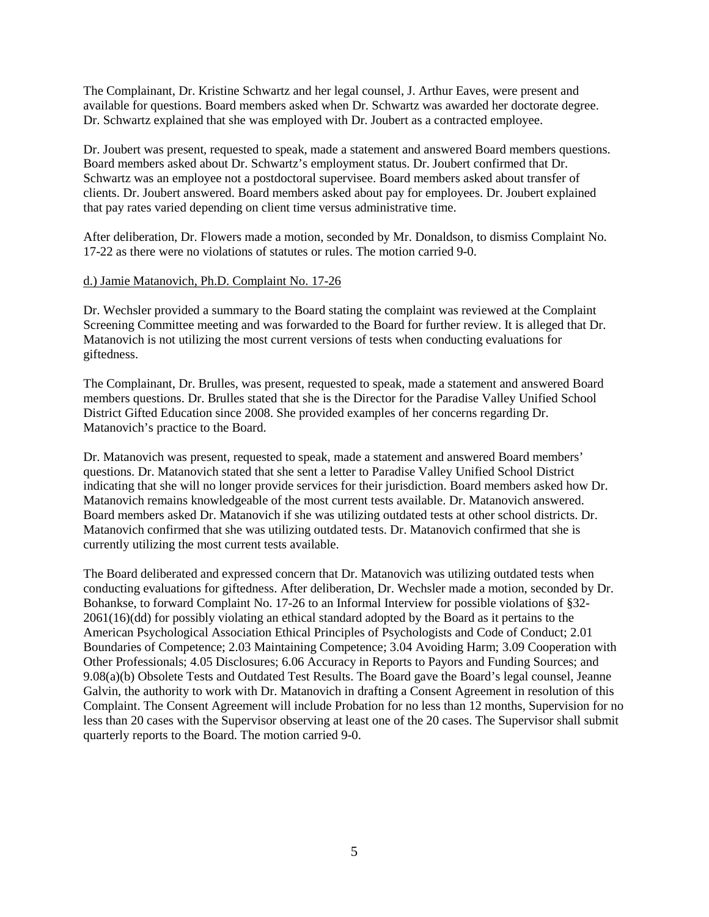The Complainant, Dr. Kristine Schwartz and her legal counsel, J. Arthur Eaves, were present and available for questions. Board members asked when Dr. Schwartz was awarded her doctorate degree. Dr. Schwartz explained that she was employed with Dr. Joubert as a contracted employee.

Dr. Joubert was present, requested to speak, made a statement and answered Board members questions. Board members asked about Dr. Schwartz's employment status. Dr. Joubert confirmed that Dr. Schwartz was an employee not a postdoctoral supervisee. Board members asked about transfer of clients. Dr. Joubert answered. Board members asked about pay for employees. Dr. Joubert explained that pay rates varied depending on client time versus administrative time.

After deliberation, Dr. Flowers made a motion, seconded by Mr. Donaldson, to dismiss Complaint No. 17-22 as there were no violations of statutes or rules. The motion carried 9-0.

#### d.) Jamie Matanovich, Ph.D. Complaint No. 17-26

Dr. Wechsler provided a summary to the Board stating the complaint was reviewed at the Complaint Screening Committee meeting and was forwarded to the Board for further review. It is alleged that Dr. Matanovich is not utilizing the most current versions of tests when conducting evaluations for giftedness.

The Complainant, Dr. Brulles, was present, requested to speak, made a statement and answered Board members questions. Dr. Brulles stated that she is the Director for the Paradise Valley Unified School District Gifted Education since 2008. She provided examples of her concerns regarding Dr. Matanovich's practice to the Board.

Dr. Matanovich was present, requested to speak, made a statement and answered Board members' questions. Dr. Matanovich stated that she sent a letter to Paradise Valley Unified School District indicating that she will no longer provide services for their jurisdiction. Board members asked how Dr. Matanovich remains knowledgeable of the most current tests available. Dr. Matanovich answered. Board members asked Dr. Matanovich if she was utilizing outdated tests at other school districts. Dr. Matanovich confirmed that she was utilizing outdated tests. Dr. Matanovich confirmed that she is currently utilizing the most current tests available.

The Board deliberated and expressed concern that Dr. Matanovich was utilizing outdated tests when conducting evaluations for giftedness. After deliberation, Dr. Wechsler made a motion, seconded by Dr. Bohankse, to forward Complaint No. 17-26 to an Informal Interview for possible violations of §32- 2061(16)(dd) for possibly violating an ethical standard adopted by the Board as it pertains to the American Psychological Association Ethical Principles of Psychologists and Code of Conduct; 2.01 Boundaries of Competence; 2.03 Maintaining Competence; 3.04 Avoiding Harm; 3.09 Cooperation with Other Professionals; 4.05 Disclosures; 6.06 Accuracy in Reports to Payors and Funding Sources; and 9.08(a)(b) Obsolete Tests and Outdated Test Results. The Board gave the Board's legal counsel, Jeanne Galvin, the authority to work with Dr. Matanovich in drafting a Consent Agreement in resolution of this Complaint. The Consent Agreement will include Probation for no less than 12 months, Supervision for no less than 20 cases with the Supervisor observing at least one of the 20 cases. The Supervisor shall submit quarterly reports to the Board. The motion carried 9-0.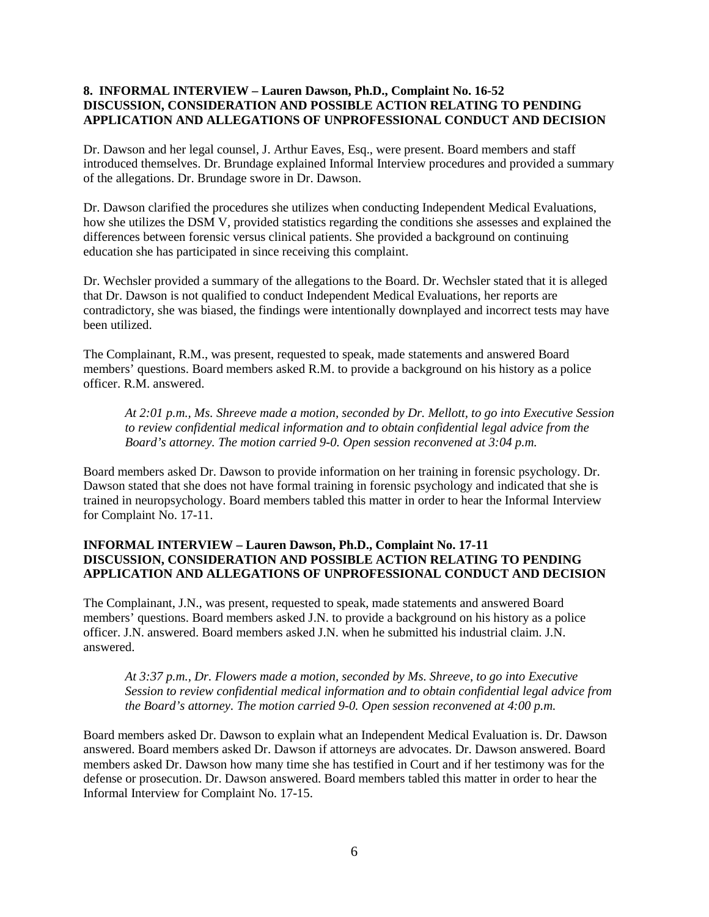### **8. INFORMAL INTERVIEW – Lauren Dawson, Ph.D., Complaint No. 16-52 DISCUSSION, CONSIDERATION AND POSSIBLE ACTION RELATING TO PENDING APPLICATION AND ALLEGATIONS OF UNPROFESSIONAL CONDUCT AND DECISION**

Dr. Dawson and her legal counsel, J. Arthur Eaves, Esq., were present. Board members and staff introduced themselves. Dr. Brundage explained Informal Interview procedures and provided a summary of the allegations. Dr. Brundage swore in Dr. Dawson.

Dr. Dawson clarified the procedures she utilizes when conducting Independent Medical Evaluations, how she utilizes the DSM V, provided statistics regarding the conditions she assesses and explained the differences between forensic versus clinical patients. She provided a background on continuing education she has participated in since receiving this complaint.

Dr. Wechsler provided a summary of the allegations to the Board. Dr. Wechsler stated that it is alleged that Dr. Dawson is not qualified to conduct Independent Medical Evaluations, her reports are contradictory, she was biased, the findings were intentionally downplayed and incorrect tests may have been utilized.

The Complainant, R.M., was present, requested to speak, made statements and answered Board members' questions. Board members asked R.M. to provide a background on his history as a police officer. R.M. answered.

*At 2:01 p.m., Ms. Shreeve made a motion, seconded by Dr. Mellott, to go into Executive Session to review confidential medical information and to obtain confidential legal advice from the Board's attorney. The motion carried 9-0. Open session reconvened at 3:04 p.m.*

Board members asked Dr. Dawson to provide information on her training in forensic psychology. Dr. Dawson stated that she does not have formal training in forensic psychology and indicated that she is trained in neuropsychology. Board members tabled this matter in order to hear the Informal Interview for Complaint No. 17-11.

## **INFORMAL INTERVIEW – Lauren Dawson, Ph.D., Complaint No. 17-11 DISCUSSION, CONSIDERATION AND POSSIBLE ACTION RELATING TO PENDING APPLICATION AND ALLEGATIONS OF UNPROFESSIONAL CONDUCT AND DECISION**

The Complainant, J.N., was present, requested to speak, made statements and answered Board members' questions. Board members asked J.N. to provide a background on his history as a police officer. J.N. answered. Board members asked J.N. when he submitted his industrial claim. J.N. answered.

*At 3:37 p.m., Dr. Flowers made a motion, seconded by Ms. Shreeve, to go into Executive Session to review confidential medical information and to obtain confidential legal advice from the Board's attorney. The motion carried 9-0. Open session reconvened at 4:00 p.m.*

Board members asked Dr. Dawson to explain what an Independent Medical Evaluation is. Dr. Dawson answered. Board members asked Dr. Dawson if attorneys are advocates. Dr. Dawson answered. Board members asked Dr. Dawson how many time she has testified in Court and if her testimony was for the defense or prosecution. Dr. Dawson answered. Board members tabled this matter in order to hear the Informal Interview for Complaint No. 17-15.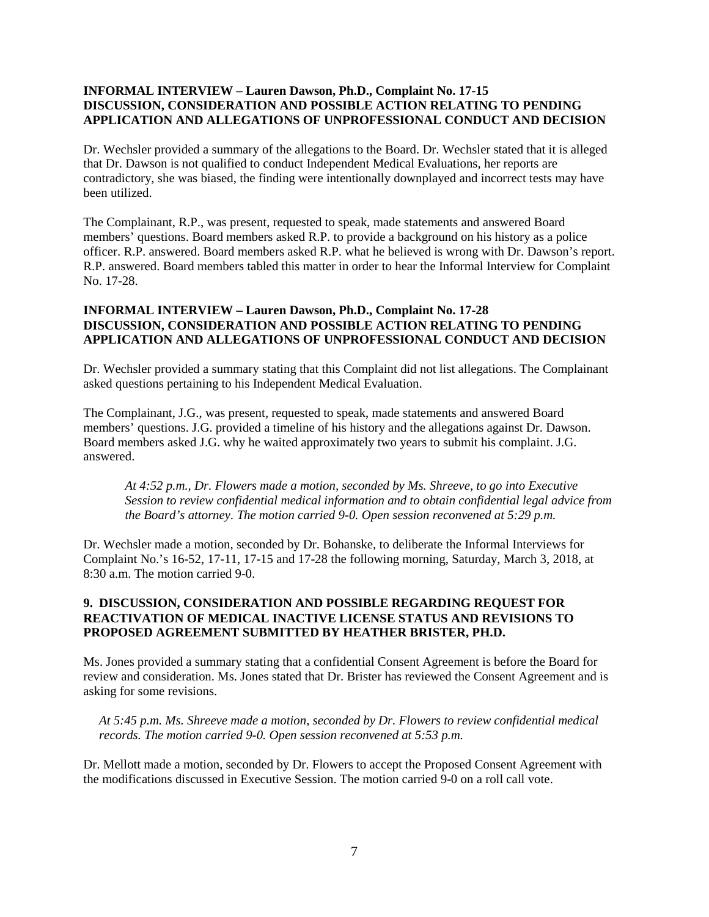## **INFORMAL INTERVIEW – Lauren Dawson, Ph.D., Complaint No. 17-15 DISCUSSION, CONSIDERATION AND POSSIBLE ACTION RELATING TO PENDING APPLICATION AND ALLEGATIONS OF UNPROFESSIONAL CONDUCT AND DECISION**

Dr. Wechsler provided a summary of the allegations to the Board. Dr. Wechsler stated that it is alleged that Dr. Dawson is not qualified to conduct Independent Medical Evaluations, her reports are contradictory, she was biased, the finding were intentionally downplayed and incorrect tests may have been utilized.

The Complainant, R.P., was present, requested to speak, made statements and answered Board members' questions. Board members asked R.P. to provide a background on his history as a police officer. R.P. answered. Board members asked R.P. what he believed is wrong with Dr. Dawson's report. R.P. answered. Board members tabled this matter in order to hear the Informal Interview for Complaint No. 17-28.

#### **INFORMAL INTERVIEW – Lauren Dawson, Ph.D., Complaint No. 17-28 DISCUSSION, CONSIDERATION AND POSSIBLE ACTION RELATING TO PENDING APPLICATION AND ALLEGATIONS OF UNPROFESSIONAL CONDUCT AND DECISION**

Dr. Wechsler provided a summary stating that this Complaint did not list allegations. The Complainant asked questions pertaining to his Independent Medical Evaluation.

The Complainant, J.G., was present, requested to speak, made statements and answered Board members' questions. J.G. provided a timeline of his history and the allegations against Dr. Dawson. Board members asked J.G. why he waited approximately two years to submit his complaint. J.G. answered.

*At 4:52 p.m., Dr. Flowers made a motion, seconded by Ms. Shreeve, to go into Executive Session to review confidential medical information and to obtain confidential legal advice from the Board's attorney. The motion carried 9-0. Open session reconvened at 5:29 p.m.*

Dr. Wechsler made a motion, seconded by Dr. Bohanske, to deliberate the Informal Interviews for Complaint No.'s 16-52, 17-11, 17-15 and 17-28 the following morning, Saturday, March 3, 2018, at 8:30 a.m. The motion carried 9-0.

#### **9. DISCUSSION, CONSIDERATION AND POSSIBLE REGARDING REQUEST FOR REACTIVATION OF MEDICAL INACTIVE LICENSE STATUS AND REVISIONS TO PROPOSED AGREEMENT SUBMITTED BY HEATHER BRISTER, PH.D.**

Ms. Jones provided a summary stating that a confidential Consent Agreement is before the Board for review and consideration. Ms. Jones stated that Dr. Brister has reviewed the Consent Agreement and is asking for some revisions.

*At 5:45 p.m. Ms. Shreeve made a motion, seconded by Dr. Flowers to review confidential medical records. The motion carried 9-0. Open session reconvened at 5:53 p.m.*

Dr. Mellott made a motion, seconded by Dr. Flowers to accept the Proposed Consent Agreement with the modifications discussed in Executive Session. The motion carried 9-0 on a roll call vote.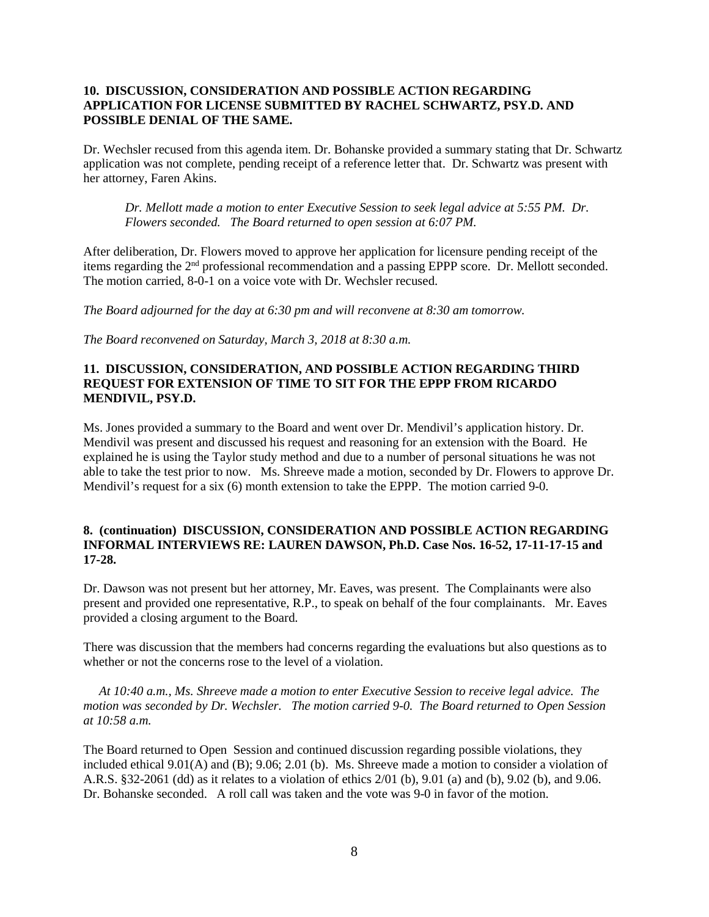#### **10. DISCUSSION, CONSIDERATION AND POSSIBLE ACTION REGARDING APPLICATION FOR LICENSE SUBMITTED BY RACHEL SCHWARTZ, PSY.D. AND POSSIBLE DENIAL OF THE SAME.**

Dr. Wechsler recused from this agenda item. Dr. Bohanske provided a summary stating that Dr. Schwartz application was not complete, pending receipt of a reference letter that. Dr. Schwartz was present with her attorney, Faren Akins.

*Dr. Mellott made a motion to enter Executive Session to seek legal advice at 5:55 PM. Dr. Flowers seconded. The Board returned to open session at 6:07 PM.* 

After deliberation, Dr. Flowers moved to approve her application for licensure pending receipt of the items regarding the 2nd professional recommendation and a passing EPPP score. Dr. Mellott seconded. The motion carried, 8-0-1 on a voice vote with Dr. Wechsler recused.

*The Board adjourned for the day at 6:30 pm and will reconvene at 8:30 am tomorrow.* 

*The Board reconvened on Saturday, March 3, 2018 at 8:30 a.m.*

# **11. DISCUSSION, CONSIDERATION, AND POSSIBLE ACTION REGARDING THIRD REQUEST FOR EXTENSION OF TIME TO SIT FOR THE EPPP FROM RICARDO MENDIVIL, PSY.D.**

Ms. Jones provided a summary to the Board and went over Dr. Mendivil's application history. Dr. Mendivil was present and discussed his request and reasoning for an extension with the Board. He explained he is using the Taylor study method and due to a number of personal situations he was not able to take the test prior to now. Ms. Shreeve made a motion, seconded by Dr. Flowers to approve Dr. Mendivil's request for a six (6) month extension to take the EPPP. The motion carried 9-0.

#### **8. (continuation) DISCUSSION, CONSIDERATION AND POSSIBLE ACTION REGARDING INFORMAL INTERVIEWS RE: LAUREN DAWSON, Ph.D. Case Nos. 16-52, 17-11-17-15 and 17-28.**

Dr. Dawson was not present but her attorney, Mr. Eaves, was present. The Complainants were also present and provided one representative, R.P., to speak on behalf of the four complainants. Mr. Eaves provided a closing argument to the Board.

There was discussion that the members had concerns regarding the evaluations but also questions as to whether or not the concerns rose to the level of a violation.

*At 10:40 a.m., Ms. Shreeve made a motion to enter Executive Session to receive legal advice. The motion was seconded by Dr. Wechsler. The motion carried 9-0. The Board returned to Open Session at 10:58 a.m.* 

The Board returned to Open Session and continued discussion regarding possible violations, they included ethical 9.01(A) and (B); 9.06; 2.01 (b). Ms. Shreeve made a motion to consider a violation of A.R.S. §32-2061 (dd) as it relates to a violation of ethics 2/01 (b), 9.01 (a) and (b), 9.02 (b), and 9.06. Dr. Bohanske seconded. A roll call was taken and the vote was 9-0 in favor of the motion.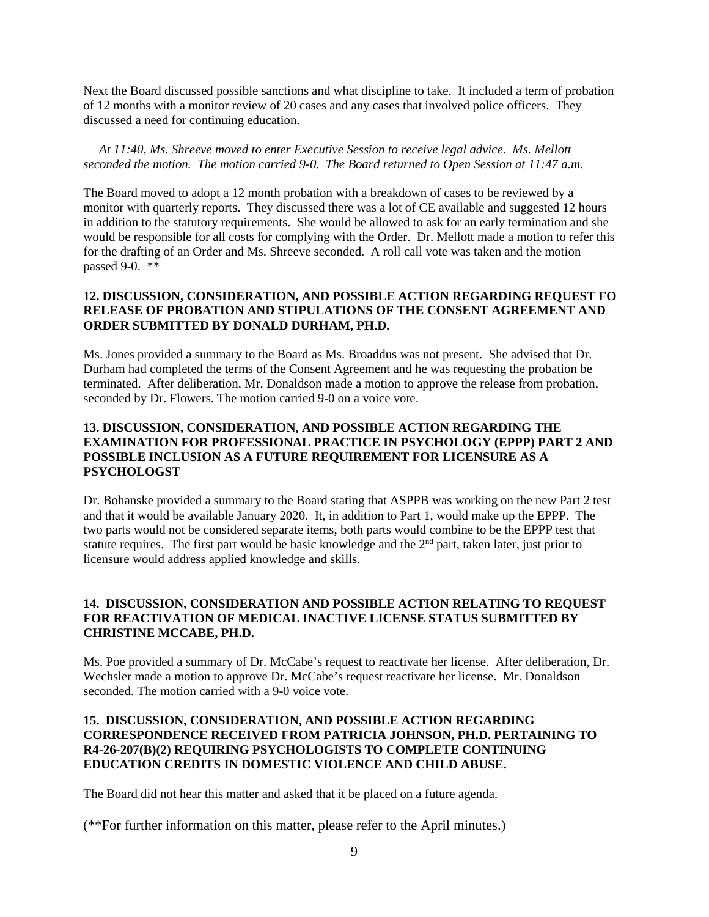Next the Board discussed possible sanctions and what discipline to take. It included a term of probation of 12 months with a monitor review of 20 cases and any cases that involved police officers. They discussed a need for continuing education.

*At 11:40, Ms. Shreeve moved to enter Executive Session to receive legal advice. Ms. Mellott seconded the motion. The motion carried 9-0. The Board returned to Open Session at 11:47 a.m.*

The Board moved to adopt a 12 month probation with a breakdown of cases to be reviewed by a monitor with quarterly reports. They discussed there was a lot of CE available and suggested 12 hours in addition to the statutory requirements. She would be allowed to ask for an early termination and she would be responsible for all costs for complying with the Order. Dr. Mellott made a motion to refer this for the drafting of an Order and Ms. Shreeve seconded. A roll call vote was taken and the motion passed 9-0. \*\*

## **12. DISCUSSION, CONSIDERATION, AND POSSIBLE ACTION REGARDING REQUEST FO RELEASE OF PROBATION AND STIPULATIONS OF THE CONSENT AGREEMENT AND ORDER SUBMITTED BY DONALD DURHAM, PH.D.**

Ms. Jones provided a summary to the Board as Ms. Broaddus was not present. She advised that Dr. Durham had completed the terms of the Consent Agreement and he was requesting the probation be terminated. After deliberation, Mr. Donaldson made a motion to approve the release from probation, seconded by Dr. Flowers. The motion carried 9-0 on a voice vote.

# **13. DISCUSSION, CONSIDERATION, AND POSSIBLE ACTION REGARDING THE EXAMINATION FOR PROFESSIONAL PRACTICE IN PSYCHOLOGY (EPPP) PART 2 AND POSSIBLE INCLUSION AS A FUTURE REQUIREMENT FOR LICENSURE AS A PSYCHOLOGST**

Dr. Bohanske provided a summary to the Board stating that ASPPB was working on the new Part 2 test and that it would be available January 2020. It, in addition to Part 1, would make up the EPPP. The two parts would not be considered separate items, both parts would combine to be the EPPP test that statute requires. The first part would be basic knowledge and the 2<sup>nd</sup> part, taken later, just prior to licensure would address applied knowledge and skills.

# **14. DISCUSSION, CONSIDERATION AND POSSIBLE ACTION RELATING TO REQUEST FOR REACTIVATION OF MEDICAL INACTIVE LICENSE STATUS SUBMITTED BY CHRISTINE MCCABE, PH.D.**

Ms. Poe provided a summary of Dr. McCabe's request to reactivate her license. After deliberation, Dr. Wechsler made a motion to approve Dr. McCabe's request reactivate her license. Mr. Donaldson seconded. The motion carried with a 9-0 voice vote.

## **15. DISCUSSION, CONSIDERATION, AND POSSIBLE ACTION REGARDING CORRESPONDENCE RECEIVED FROM PATRICIA JOHNSON, PH.D. PERTAINING TO R4-26-207(B)(2) REQUIRING PSYCHOLOGISTS TO COMPLETE CONTINUING EDUCATION CREDITS IN DOMESTIC VIOLENCE AND CHILD ABUSE.**

The Board did not hear this matter and asked that it be placed on a future agenda.

(\*\*For further information on this matter, please refer to the April minutes.)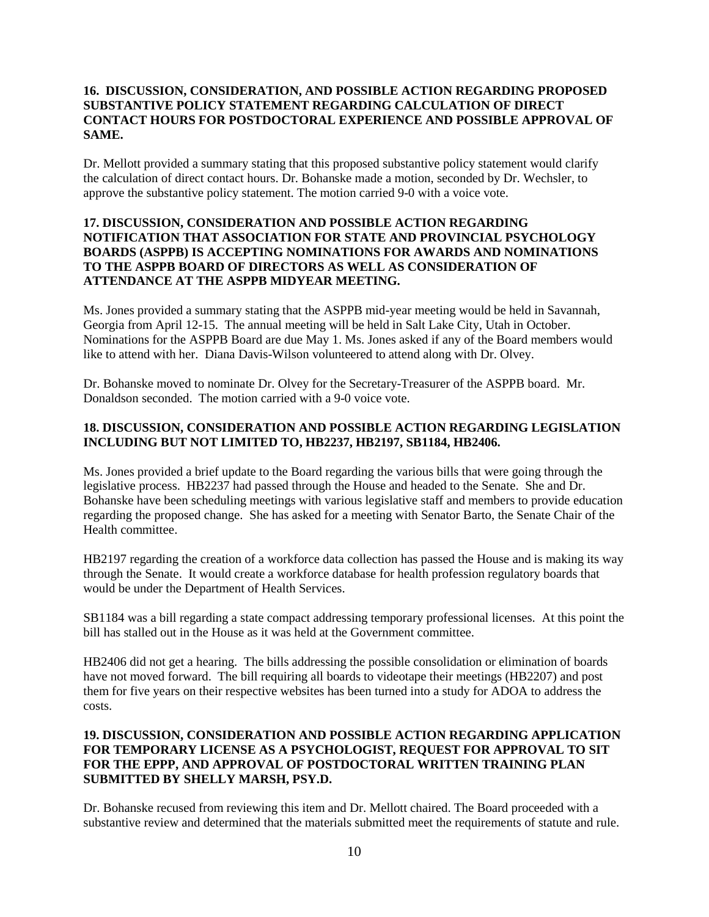#### **16. DISCUSSION, CONSIDERATION, AND POSSIBLE ACTION REGARDING PROPOSED SUBSTANTIVE POLICY STATEMENT REGARDING CALCULATION OF DIRECT CONTACT HOURS FOR POSTDOCTORAL EXPERIENCE AND POSSIBLE APPROVAL OF SAME.**

Dr. Mellott provided a summary stating that this proposed substantive policy statement would clarify the calculation of direct contact hours. Dr. Bohanske made a motion, seconded by Dr. Wechsler, to approve the substantive policy statement. The motion carried 9-0 with a voice vote.

#### **17. DISCUSSION, CONSIDERATION AND POSSIBLE ACTION REGARDING NOTIFICATION THAT ASSOCIATION FOR STATE AND PROVINCIAL PSYCHOLOGY BOARDS (ASPPB) IS ACCEPTING NOMINATIONS FOR AWARDS AND NOMINATIONS TO THE ASPPB BOARD OF DIRECTORS AS WELL AS CONSIDERATION OF ATTENDANCE AT THE ASPPB MIDYEAR MEETING.**

Ms. Jones provided a summary stating that the ASPPB mid-year meeting would be held in Savannah, Georgia from April 12-15. The annual meeting will be held in Salt Lake City, Utah in October. Nominations for the ASPPB Board are due May 1. Ms. Jones asked if any of the Board members would like to attend with her. Diana Davis-Wilson volunteered to attend along with Dr. Olvey.

Dr. Bohanske moved to nominate Dr. Olvey for the Secretary-Treasurer of the ASPPB board. Mr. Donaldson seconded. The motion carried with a 9-0 voice vote.

## **18. DISCUSSION, CONSIDERATION AND POSSIBLE ACTION REGARDING LEGISLATION INCLUDING BUT NOT LIMITED TO, HB2237, HB2197, SB1184, HB2406.**

Ms. Jones provided a brief update to the Board regarding the various bills that were going through the legislative process. HB2237 had passed through the House and headed to the Senate. She and Dr. Bohanske have been scheduling meetings with various legislative staff and members to provide education regarding the proposed change. She has asked for a meeting with Senator Barto, the Senate Chair of the Health committee.

HB2197 regarding the creation of a workforce data collection has passed the House and is making its way through the Senate. It would create a workforce database for health profession regulatory boards that would be under the Department of Health Services.

SB1184 was a bill regarding a state compact addressing temporary professional licenses. At this point the bill has stalled out in the House as it was held at the Government committee.

HB2406 did not get a hearing. The bills addressing the possible consolidation or elimination of boards have not moved forward. The bill requiring all boards to videotape their meetings (HB2207) and post them for five years on their respective websites has been turned into a study for ADOA to address the costs.

#### **19. DISCUSSION, CONSIDERATION AND POSSIBLE ACTION REGARDING APPLICATION FOR TEMPORARY LICENSE AS A PSYCHOLOGIST, REQUEST FOR APPROVAL TO SIT FOR THE EPPP, AND APPROVAL OF POSTDOCTORAL WRITTEN TRAINING PLAN SUBMITTED BY SHELLY MARSH, PSY.D.**

Dr. Bohanske recused from reviewing this item and Dr. Mellott chaired. The Board proceeded with a substantive review and determined that the materials submitted meet the requirements of statute and rule.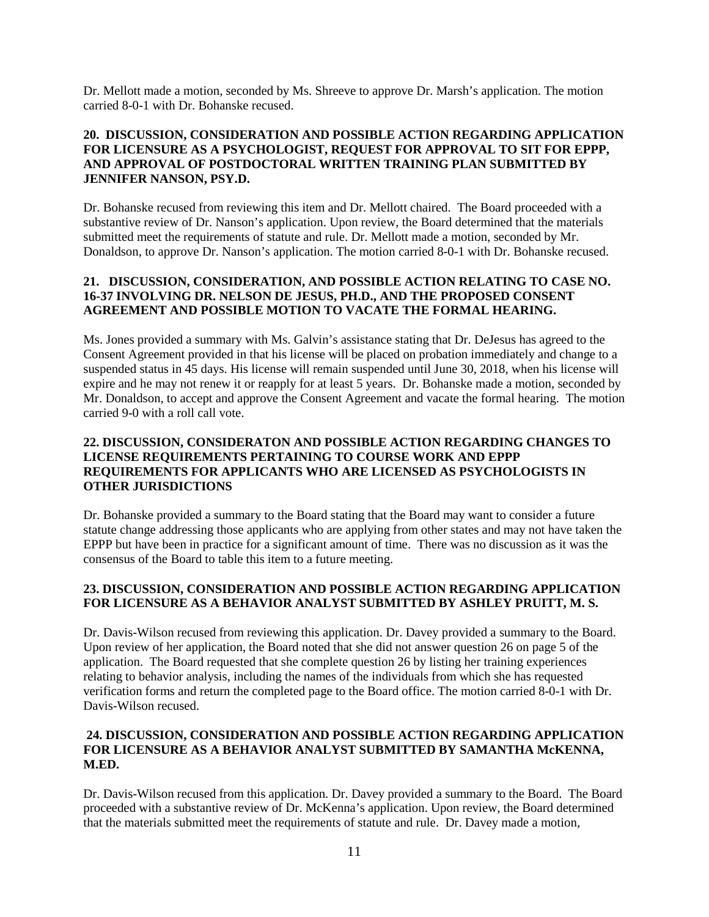Dr. Mellott made a motion, seconded by Ms. Shreeve to approve Dr. Marsh's application. The motion carried 8-0-1 with Dr. Bohanske recused.

## **20. DISCUSSION, CONSIDERATION AND POSSIBLE ACTION REGARDING APPLICATION FOR LICENSURE AS A PSYCHOLOGIST, REQUEST FOR APPROVAL TO SIT FOR EPPP, AND APPROVAL OF POSTDOCTORAL WRITTEN TRAINING PLAN SUBMITTED BY JENNIFER NANSON, PSY.D.**

Dr. Bohanske recused from reviewing this item and Dr. Mellott chaired. The Board proceeded with a substantive review of Dr. Nanson's application. Upon review, the Board determined that the materials submitted meet the requirements of statute and rule. Dr. Mellott made a motion, seconded by Mr. Donaldson, to approve Dr. Nanson's application. The motion carried 8-0-1 with Dr. Bohanske recused.

## **21. DISCUSSION, CONSIDERATION, AND POSSIBLE ACTION RELATING TO CASE NO. 16-37 INVOLVING DR. NELSON DE JESUS, PH.D., AND THE PROPOSED CONSENT AGREEMENT AND POSSIBLE MOTION TO VACATE THE FORMAL HEARING.**

Ms. Jones provided a summary with Ms. Galvin's assistance stating that Dr. DeJesus has agreed to the Consent Agreement provided in that his license will be placed on probation immediately and change to a suspended status in 45 days. His license will remain suspended until June 30, 2018, when his license will expire and he may not renew it or reapply for at least 5 years. Dr. Bohanske made a motion, seconded by Mr. Donaldson, to accept and approve the Consent Agreement and vacate the formal hearing. The motion carried 9-0 with a roll call vote.

# **22. DISCUSSION, CONSIDERATON AND POSSIBLE ACTION REGARDING CHANGES TO LICENSE REQUIREMENTS PERTAINING TO COURSE WORK AND EPPP REQUIREMENTS FOR APPLICANTS WHO ARE LICENSED AS PSYCHOLOGISTS IN OTHER JURISDICTIONS**

Dr. Bohanske provided a summary to the Board stating that the Board may want to consider a future statute change addressing those applicants who are applying from other states and may not have taken the EPPP but have been in practice for a significant amount of time. There was no discussion as it was the consensus of the Board to table this item to a future meeting.

# **23. DISCUSSION, CONSIDERATION AND POSSIBLE ACTION REGARDING APPLICATION FOR LICENSURE AS A BEHAVIOR ANALYST SUBMITTED BY ASHLEY PRUITT, M. S.**

Dr. Davis-Wilson recused from reviewing this application. Dr. Davey provided a summary to the Board. Upon review of her application, the Board noted that she did not answer question 26 on page 5 of the application. The Board requested that she complete question 26 by listing her training experiences relating to behavior analysis, including the names of the individuals from which she has requested verification forms and return the completed page to the Board office. The motion carried 8-0-1 with Dr. Davis-Wilson recused.

#### **24. DISCUSSION, CONSIDERATION AND POSSIBLE ACTION REGARDING APPLICATION FOR LICENSURE AS A BEHAVIOR ANALYST SUBMITTED BY SAMANTHA McKENNA, M.ED.**

Dr. Davis-Wilson recused from this application. Dr. Davey provided a summary to the Board. The Board proceeded with a substantive review of Dr. McKenna's application. Upon review, the Board determined that the materials submitted meet the requirements of statute and rule. Dr. Davey made a motion,